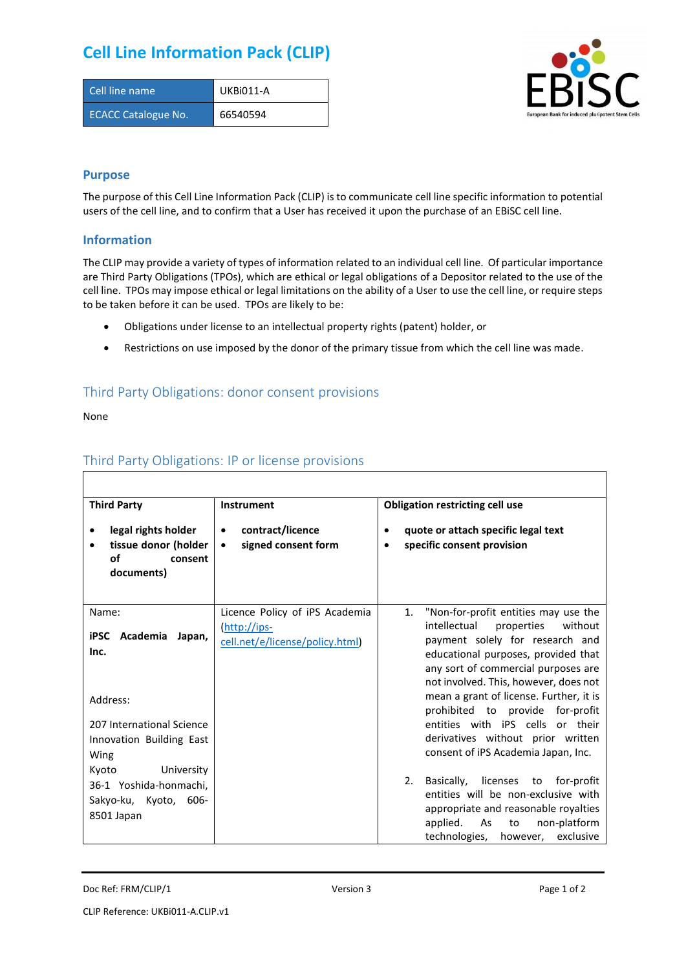# **Cell Line Information Pack (CLIP)**

| Cell line name             | UKBi011-A |
|----------------------------|-----------|
| <b>ECACC Catalogue No.</b> | 66540594  |



### **Purpose**

The purpose of this Cell Line Information Pack (CLIP) is to communicate cell line specific information to potential users of the cell line, and to confirm that a User has received it upon the purchase of an EBiSC cell line.

### **Information**

The CLIP may provide a variety of types of information related to an individual cell line. Of particular importance are Third Party Obligations (TPOs), which are ethical or legal obligations of a Depositor related to the use of the cell line. TPOs may impose ethical or legal limitations on the ability of a User to use the cell line, or require steps to be taken before it can be used. TPOs are likely to be:

- Obligations under license to an intellectual property rights (patent) holder, or
- Restrictions on use imposed by the donor of the primary tissue from which the cell line was made.

## Third Party Obligations: donor consent provisions

None

 $\Gamma$ 

| <b>Third Party</b>                                                                                                       | <b>Instrument</b>                                                                 | <b>Obligation restricting cell use</b>                                                                                                                                                                                                                                                                                                                                                                                                       |  |  |
|--------------------------------------------------------------------------------------------------------------------------|-----------------------------------------------------------------------------------|----------------------------------------------------------------------------------------------------------------------------------------------------------------------------------------------------------------------------------------------------------------------------------------------------------------------------------------------------------------------------------------------------------------------------------------------|--|--|
| legal rights holder<br>tissue donor (holder<br>$\bullet$<br>of<br>consent<br>documents)                                  | contract/licence<br>$\bullet$<br>signed consent form<br>$\bullet$                 | quote or attach specific legal text<br>$\bullet$<br>specific consent provision<br>$\bullet$                                                                                                                                                                                                                                                                                                                                                  |  |  |
| Name:<br>Academia<br>iPSC<br>Japan,<br>Inc.<br>Address:<br>207 International Science<br>Innovation Building East<br>Wing | Licence Policy of iPS Academia<br>(http://ips-<br>cell.net/e/license/policy.html) | 1.<br>"Non-for-profit entities may use the<br>intellectual<br>without<br>properties<br>payment solely for research and<br>educational purposes, provided that<br>any sort of commercial purposes are<br>not involved. This, however, does not<br>mean a grant of license. Further, it is<br>prohibited to provide for-profit<br>entities with iPS cells or their<br>derivatives without prior written<br>consent of iPS Academia Japan, Inc. |  |  |
| University<br>Kyoto<br>36-1 Yoshida-honmachi.<br>Sakyo-ku, Kyoto, 606-<br>8501 Japan                                     |                                                                                   | licenses<br>for-profit<br>2.<br>Basically,<br>to<br>entities will be non-exclusive with<br>appropriate and reasonable royalties<br>non-platform<br>applied.<br>As<br>to<br>technologies,<br>exclusive<br>however,                                                                                                                                                                                                                            |  |  |

## Third Party Obligations: IP or license provisions